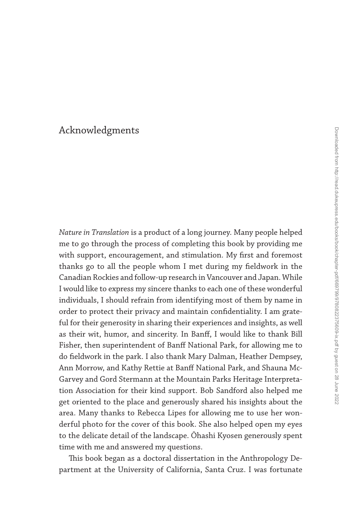## [Acknowledgments](#page--1-0)

*Nature in Translation* is a product of a long journey. Many people helped me to go through the process of completing this book by providing me with support, encouragement, and stimulation. My first and foremost thanks go to all the people whom I met during my fieldwork in the Canadian Rockies and follow-up research in Vancouver and Japan. While I would like to express my sincere thanks to each one of these wonderful individuals, I should refrain from identifying most of them by name in order to protect their privacy and maintain confidentiality. I am grateful for their generosity in sharing their experiences and insights, as well as their wit, humor, and sincerity. In Banff, I would like to thank Bill Fisher, then superintendent of Banff National Park, for allowing me to do fieldwork in the park. I also thank Mary Dalman, Heather Dempsey, Ann Morrow, and Kathy Rettie at Banff National Park, and Shauna Mc-Garvey and Gord Stermann at the Mountain Parks Heritage Interpretation Association for their kind support. Bob Sandford also helped me get oriented to the place and generously shared his insights about the area. Many thanks to Rebecca Lipes for allowing me to use her wonderful photo for the cover of this book. She also helped open my eyes to the delicate detail of the landscape. Ōhashi Kyosen generously spent time with me and answered my questions.

This book began as a doctoral dissertation in the Anthropology Department at the University of California, Santa Cruz. I was fortunate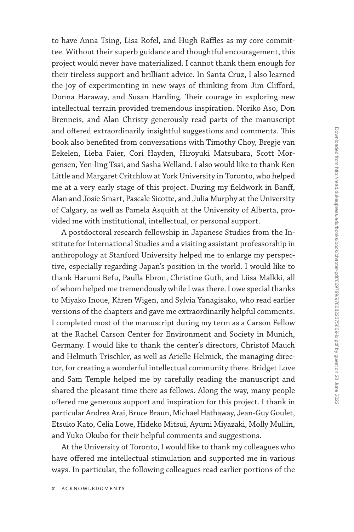to have Anna Tsing, Lisa Rofel, and Hugh Raffles as my core committee. Without their superb guidance and thoughtful encouragement, this project would never have materialized. I cannot thank them enough for their tireless support and brilliant advice. In Santa Cruz, I also learned the joy of experimenting in new ways of thinking from Jim Clifford, Donna Haraway, and Susan Harding. Their courage in exploring new intellectual terrain provided tremendous inspiration. Noriko Aso, Don Brenneis, and Alan Christy generously read parts of the manuscript and offered extraordinarily insightful suggestions and comments. This book also benefited from conversations with Timothy Choy, Bregje van Eekelen, Lieba Faier, Cori Hayden, Hiroyuki Matsubara, Scott Morgensen, Yen-ling Tsai, and Sasha Welland. I also would like to thank Ken Little and Margaret Critchlow at York University in Toronto, who helped me at a very early stage of this project. During my fieldwork in Banff, Alan and Josie Smart, Pascale Sicotte, and Julia Murphy at the University of Calgary, as well as Pamela Asquith at the University of Alberta, provided me with institutional, intellectual, or personal support.

A postdoctoral research fellowship in Japanese Studies from the Institute for International Studies and a visiting assistant professorship in anthropology at Stanford University helped me to enlarge my perspective, especially regarding Japan's position in the world. I would like to thank Harumi Befu, Paulla Ebron, Christine Guth, and Liisa Malkki, all of whom helped me tremendously while I was there. I owe special thanks to Miyako Inoue, Kären Wigen, and Sylvia Yanagisako, who read earlier versions of the chapters and gave me extraordinarily helpful comments. I completed most of the manuscript during my term as a Carson Fellow at the Rachel Carson Center for Environment and Society in Munich, Germany. I would like to thank the center's directors, Christof Mauch and Helmuth Trischler, as well as Arielle Helmick, the managing director, for creating a wonderful intellectual community there. Bridget Love and Sam Temple helped me by carefully reading the manuscript and shared the pleasant time there as fellows. Along the way, many people offered me generous support and inspiration for this project. I thank in particular Andrea Arai, Bruce Braun, Michael Hathaway, Jean-Guy Goulet, Etsuko Kato, Celia Lowe, Hideko Mitsui, Ayumi Miyazaki, Molly Mullin, and Yuko Okubo for their helpful comments and suggestions.

At the University of Toronto, I would like to thank my colleagues who have offered me intellectual stimulation and supported me in various ways. In particular, the following colleagues read earlier portions of the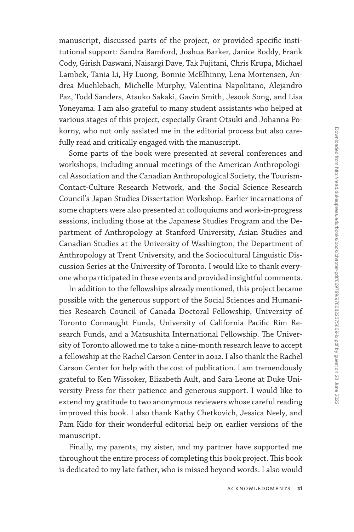manuscript, discussed parts of the project, or provided specific institutional support: Sandra Bamford, Joshua Barker, Janice Boddy, Frank Cody, Girish Daswani, Naisargi Dave, Tak Fujitani, Chris Krupa, Michael Lambek, Tania Li, Hy Luong, Bonnie McElhinny, Lena Mortensen, Andrea Muehlebach, Michelle Murphy, Valentina Napolitano, Alejandro Paz, Todd Sanders, Atsuko Sakaki, Gavin Smith, Jesook Song, and Lisa Yoneyama. I am also grateful to many student assistants who helped at various stages of this project, especially Grant Otsuki and Johanna Pokorny, who not only assisted me in the editorial process but also carefully read and critically engaged with the manuscript.

Some parts of the book were presented at several conferences and workshops, including annual meetings of the American Anthropological Association and the Canadian Anthropological Society, the Tourism-Contact-Culture Research Network, and the Social Science Research Council's Japan Studies Dissertation Workshop. Earlier incarnations of some chapters were also presented at colloquiums and work-in-progress sessions, including those at the Japanese Studies Program and the Department of Anthropology at Stanford University, Asian Studies and Canadian Studies at the University of Washington, the Department of Anthropology at Trent University, and the Sociocultural Linguistic Discussion Series at the University of Toronto. I would like to thank everyone who participated in these events and provided insightful comments.

In addition to the fellowships already mentioned, this project became possible with the generous support of the Social Sciences and Humanities Research Council of Canada Doctoral Fellowship, University of Toronto Connaught Funds, University of California Pacific Rim Research Funds, and a Matsushita International Fellowship. The University of Toronto allowed me to take a nine-month research leave to accept a fellowship at the Rachel Carson Center in 2012. I also thank the Rachel Carson Center for help with the cost of publication. I am tremendously grateful to Ken Wissoker, Elizabeth Ault, and Sara Leone at Duke University Press for their patience and generous support. I would like to extend my gratitude to two anonymous reviewers whose careful reading improved this book. I also thank Kathy Chetkovich, Jessica Neely, and Pam Kido for their wonderful editorial help on earlier versions of the manuscript.

Finally, my parents, my sister, and my partner have supported me throughout the entire process of completing this book project. This book is dedicated to my late father, who is missed beyond words. I also would